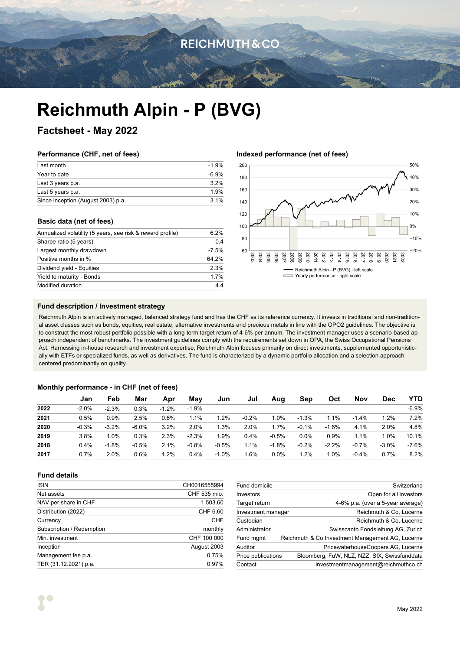## **REICHMUTH & CO**

# **Reichmuth Alpin - P (BVG)**

### **Factsheet - May 2022**

### **Performance (CHF, net of fees)**

| Last month                         | $-1.9%$ |
|------------------------------------|---------|
| Year to date                       | -6.9%   |
| Last 3 years p.a.                  | 32%     |
| Last 5 years p.a.                  | 1.9%    |
| Since inception (August 2003) p.a. | 31%     |

### **Basic data (net of fees)**

| Annualized volatility (5 years, see risk & reward profile) | 6.2%    |  |
|------------------------------------------------------------|---------|--|
| Sharpe ratio (5 years)                                     | 0.4     |  |
| Largest monthly drawdown                                   | $-7.5%$ |  |
| Positive months in %                                       | 64 2%   |  |
| Dividend yield - Equities                                  | 2.3%    |  |
| Yield to maturity - Bonds                                  | 1.7%    |  |
| Modified duration                                          | 44      |  |
|                                                            |         |  |

### **Indexed performance (net of fees)**



### **Fund description / Investment strategy**

Reichmuth Alpin is an actively managed, balanced strategy fund and has the CHF as its reference currency. It invests in traditional and non-traditional asset classes such as bonds, equities, real estate, alternative investments and precious metals in line with the OPO2 guidelines. The objective is to construct the most robust portfolio possible with a long-term target return of 4-6% per annum. The investment manager uses a scenario-based approach independent of benchmarks. The investment guidelines comply with the requirements set down in OPA, the Swiss Occupational Pensions Act. Harnessing in-house research and investment expertise, Reichmuth Alpin focuses primarily on direct investments, supplemented opportunistically with ETFs or specialized funds, as well as derivatives. The fund is characterized by a dynamic portfolio allocation and a selection approach centered predominantly on quality.

### **Monthly performance - in CHF (net of fees)**

|      | Jan     | Feb     | Mar     | Apr     | Mav     | Jun     | Jul     | Aug     | Sep     | Oct     | Nov     | <b>Dec</b> | <b>YTD</b> |
|------|---------|---------|---------|---------|---------|---------|---------|---------|---------|---------|---------|------------|------------|
| 2022 | $-2.0%$ | $-2.3%$ | 0.3%    | $-1.2%$ | $-1.9%$ |         |         |         |         |         |         |            | $-6.9%$    |
| 2021 | 0.5%    | 0.9%    | 2.5%    | 0.6%    | 1.1%    | 1.2%    | $-0.2%$ | 1.0%    | $-1.3%$ | 1.1%    | $-1.4%$ | 1.2%       | 7.2%       |
| 2020 | $-0.3%$ | $-3.2%$ | $-6.0%$ | 3.2%    | 2.0%    | 1.3%    | 2.0%    | 1.7%    | $-0.1%$ | $-1.6%$ | 4.1%    | 2.0%       | 4.8%       |
| 2019 | 3.8%    | 1.0%    | 0.3%    | 2.3%    | $-2.3%$ | 1.9%    | 0.4%    | $-0.5%$ | 0.0%    | $0.9\%$ | 1.1%    | 1.0%       | 10.1%      |
| 2018 | 0.4%    | $-1.8%$ | $-0.5%$ | 2.1%    | $-0.8%$ | $-0.5%$ | 1.1%    | $-1.8%$ | $-0.2%$ | $-2.2%$ | $-0.7%$ | $-3.0%$    | $-7.6%$    |
| 2017 | $0.7\%$ | 2.0%    | 0.6%    | 1.2%    | 0.4%    | $-1.0%$ | 1.6%    | $0.0\%$ | 1.2%    | 1.0%    | $-0.4%$ | 0.7%       | 8.2%       |

### **Fund details**

| <b>ISIN</b>               | CH0016555994 |
|---------------------------|--------------|
| Net assets                | CHF 535 mio. |
| NAV per share in CHF      | 1 503.60     |
| Distribution (2022)       | CHF 6.60     |
| Currency                  | CHF          |
| Subscription / Redemption | monthly      |
| Min. investment           | CHF 100 000  |
| Inception                 | August 2003  |
| Management fee p.a.       | 0.75%        |
| TER (31.12.2021) p.a.     | 0.97%        |

| Fund domicile      | Switzerland                                      |
|--------------------|--------------------------------------------------|
| Investors          | Open for all investors                           |
| Target return      | 4-6% p.a. (over a 5-year average)                |
| Investment manager | Reichmuth & Co, Lucerne                          |
| Custodian          | Reichmuth & Co. Lucerne                          |
| Administrator      | Swisscanto Fondsleitung AG, Zurich               |
| Fund mgmt          | Reichmuth & Co Investment Management AG, Lucerne |
| Auditor            | PricewaterhouseCoopers AG, Lucerne               |
| Price publications | Bloomberg, FuW, NLZ, NZZ, SIX, Swissfunddata     |
| Contact            | investmentmanagement@reichmuthco.ch              |